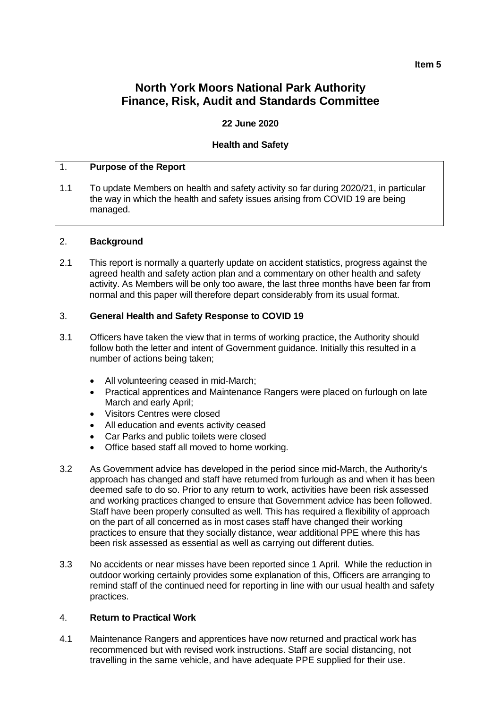# **Item 5**

### **North York Moors National Park Authority Finance, Risk, Audit and Standards Committee**

### **22 June 2020**

### **Health and Safety**

### 1. **Purpose of the Report**

1.1 To update Members on health and safety activity so far during 2020/21, in particular the way in which the health and safety issues arising from COVID 19 are being managed.

### 2. **Background**

2.1 This report is normally a quarterly update on accident statistics, progress against the agreed health and safety action plan and a commentary on other health and safety activity. As Members will be only too aware, the last three months have been far from normal and this paper will therefore depart considerably from its usual format.

### 3. **General Health and Safety Response to COVID 19**

- 3.1 Officers have taken the view that in terms of working practice, the Authority should follow both the letter and intent of Government guidance. Initially this resulted in a number of actions being taken;
	- All volunteering ceased in mid-March;
	- Practical apprentices and Maintenance Rangers were placed on furlough on late March and early April;
	- Visitors Centres were closed
	- All education and events activity ceased
	- Car Parks and public toilets were closed
	- Office based staff all moved to home working.
- 3.2 As Government advice has developed in the period since mid-March, the Authority's approach has changed and staff have returned from furlough as and when it has been deemed safe to do so. Prior to any return to work, activities have been risk assessed and working practices changed to ensure that Government advice has been followed. Staff have been properly consulted as well. This has required a flexibility of approach on the part of all concerned as in most cases staff have changed their working practices to ensure that they socially distance, wear additional PPE where this has been risk assessed as essential as well as carrying out different duties.
- 3.3 No accidents or near misses have been reported since 1 April. While the reduction in outdoor working certainly provides some explanation of this, Officers are arranging to remind staff of the continued need for reporting in line with our usual health and safety practices.

### 4. **Return to Practical Work**

4.1 Maintenance Rangers and apprentices have now returned and practical work has recommenced but with revised work instructions. Staff are social distancing, not travelling in the same vehicle, and have adequate PPE supplied for their use.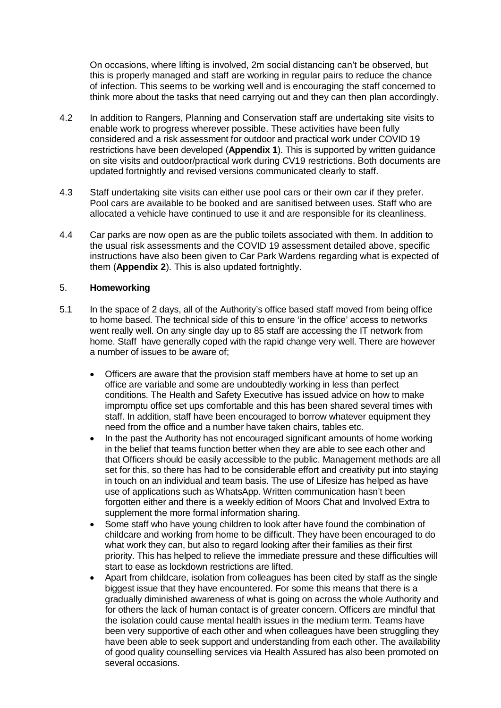On occasions, where lifting is involved, 2m social distancing can't be observed, but this is properly managed and staff are working in regular pairs to reduce the chance of infection. This seems to be working well and is encouraging the staff concerned to think more about the tasks that need carrying out and they can then plan accordingly.

- 4.2 In addition to Rangers, Planning and Conservation staff are undertaking site visits to enable work to progress wherever possible. These activities have been fully considered and a risk assessment for outdoor and practical work under COVID 19 restrictions have been developed (**Appendix 1**). This is supported by written guidance on site visits and outdoor/practical work during CV19 restrictions. Both documents are updated fortnightly and revised versions communicated clearly to staff.
- 4.3 Staff undertaking site visits can either use pool cars or their own car if they prefer. Pool cars are available to be booked and are sanitised between uses. Staff who are allocated a vehicle have continued to use it and are responsible for its cleanliness.
- 4.4 Car parks are now open as are the public toilets associated with them. In addition to the usual risk assessments and the COVID 19 assessment detailed above, specific instructions have also been given to Car Park Wardens regarding what is expected of them (**Appendix 2**). This is also updated fortnightly.

### 5. **Homeworking**

- 5.1 In the space of 2 days, all of the Authority's office based staff moved from being office to home based. The technical side of this to ensure 'in the office' access to networks went really well. On any single day up to 85 staff are accessing the IT network from home. Staff have generally coped with the rapid change very well. There are however a number of issues to be aware of;
	- Officers are aware that the provision staff members have at home to set up an office are variable and some are undoubtedly working in less than perfect conditions. The Health and Safety Executive has issued advice on how to make impromptu office set ups comfortable and this has been shared several times with staff. In addition, staff have been encouraged to borrow whatever equipment they need from the office and a number have taken chairs, tables etc.
	- In the past the Authority has not encouraged significant amounts of home working in the belief that teams function better when they are able to see each other and that Officers should be easily accessible to the public. Management methods are all set for this, so there has had to be considerable effort and creativity put into staying in touch on an individual and team basis. The use of Lifesize has helped as have use of applications such as WhatsApp. Written communication hasn't been forgotten either and there is a weekly edition of Moors Chat and Involved Extra to supplement the more formal information sharing.
	- Some staff who have young children to look after have found the combination of childcare and working from home to be difficult. They have been encouraged to do what work they can, but also to regard looking after their families as their first priority. This has helped to relieve the immediate pressure and these difficulties will start to ease as lockdown restrictions are lifted.
	- Apart from childcare, isolation from colleagues has been cited by staff as the single biggest issue that they have encountered. For some this means that there is a gradually diminished awareness of what is going on across the whole Authority and for others the lack of human contact is of greater concern. Officers are mindful that the isolation could cause mental health issues in the medium term. Teams have been very supportive of each other and when colleagues have been struggling they have been able to seek support and understanding from each other. The availability of good quality counselling services via Health Assured has also been promoted on several occasions.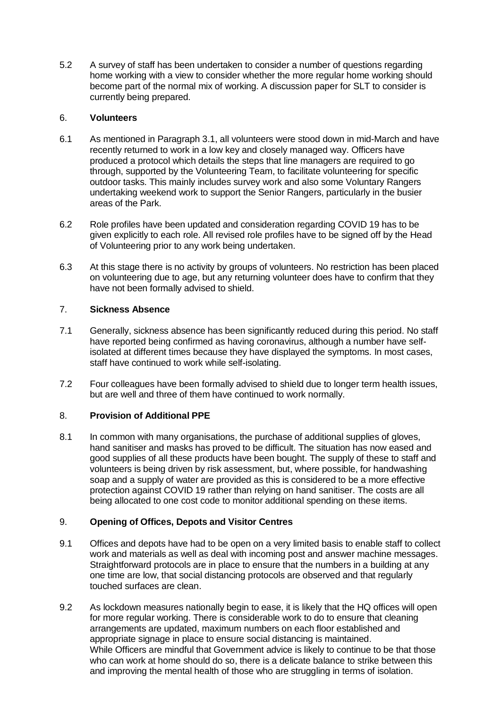5.2 A survey of staff has been undertaken to consider a number of questions regarding home working with a view to consider whether the more regular home working should become part of the normal mix of working. A discussion paper for SLT to consider is currently being prepared.

### 6. **Volunteers**

- 6.1 As mentioned in Paragraph 3.1, all volunteers were stood down in mid-March and have recently returned to work in a low key and closely managed way. Officers have produced a protocol which details the steps that line managers are required to go through, supported by the Volunteering Team, to facilitate volunteering for specific outdoor tasks. This mainly includes survey work and also some Voluntary Rangers undertaking weekend work to support the Senior Rangers, particularly in the busier areas of the Park.
- 6.2 Role profiles have been updated and consideration regarding COVID 19 has to be given explicitly to each role. All revised role profiles have to be signed off by the Head of Volunteering prior to any work being undertaken.
- 6.3 At this stage there is no activity by groups of volunteers. No restriction has been placed on volunteering due to age, but any returning volunteer does have to confirm that they have not been formally advised to shield.

### 7. **Sickness Absence**

- 7.1 Generally, sickness absence has been significantly reduced during this period. No staff have reported being confirmed as having coronavirus, although a number have selfisolated at different times because they have displayed the symptoms. In most cases, staff have continued to work while self-isolating.
- 7.2 Four colleagues have been formally advised to shield due to longer term health issues, but are well and three of them have continued to work normally.

### 8. **Provision of Additional PPE**

8.1 In common with many organisations, the purchase of additional supplies of gloves, hand sanitiser and masks has proved to be difficult. The situation has now eased and good supplies of all these products have been bought. The supply of these to staff and volunteers is being driven by risk assessment, but, where possible, for handwashing soap and a supply of water are provided as this is considered to be a more effective protection against COVID 19 rather than relying on hand sanitiser. The costs are all being allocated to one cost code to monitor additional spending on these items.

### 9. **Opening of Offices, Depots and Visitor Centres**

- 9.1 Offices and depots have had to be open on a very limited basis to enable staff to collect work and materials as well as deal with incoming post and answer machine messages. Straightforward protocols are in place to ensure that the numbers in a building at any one time are low, that social distancing protocols are observed and that regularly touched surfaces are clean.
- 9.2 As lockdown measures nationally begin to ease, it is likely that the HQ offices will open for more regular working. There is considerable work to do to ensure that cleaning arrangements are updated, maximum numbers on each floor established and appropriate signage in place to ensure social distancing is maintained. While Officers are mindful that Government advice is likely to continue to be that those who can work at home should do so, there is a delicate balance to strike between this and improving the mental health of those who are struggling in terms of isolation.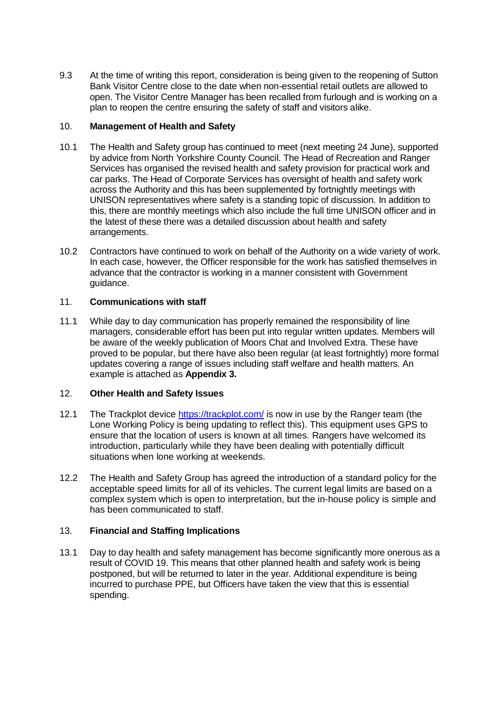9.3 At the time of writing this report, consideration is being given to the reopening of Sutton Bank Visitor Centre close to the date when non-essential retail outlets are allowed to open. The Visitor Centre Manager has been recalled from furlough and is working on a plan to reopen the centre ensuring the safety of staff and visitors alike.

### 10. **Management of Health and Safety**

- 10.1 The Health and Safety group has continued to meet (next meeting 24 June), supported by advice from North Yorkshire County Council. The Head of Recreation and Ranger Services has organised the revised health and safety provision for practical work and car parks. The Head of Corporate Services has oversight of health and safety work across the Authority and this has been supplemented by fortnightly meetings with UNISON representatives where safety is a standing topic of discussion. In addition to this, there are monthly meetings which also include the full time UNISON officer and in the latest of these there was a detailed discussion about health and safety arrangements.
- 10.2 Contractors have continued to work on behalf of the Authority on a wide variety of work. In each case, however, the Officer responsible for the work has satisfied themselves in advance that the contractor is working in a manner consistent with Government guidance.

### 11. **Communications with staff**

11.1 While day to day communication has properly remained the responsibility of line managers, considerable effort has been put into regular written updates. Members will be aware of the weekly publication of Moors Chat and Involved Extra. These have proved to be popular, but there have also been regular (at least fortnightly) more formal updates covering a range of issues including staff welfare and health matters. An example is attached as **Appendix 3.**

### 12. **Other Health and Safety Issues**

- 12.1 The Trackplot device<https://trackplot.com/> is now in use by the Ranger team (the Lone Working Policy is being updating to reflect this). This equipment uses GPS to ensure that the location of users is known at all times. Rangers have welcomed its introduction, particularly while they have been dealing with potentially difficult situations when lone working at weekends.
- 12.2 The Health and Safety Group has agreed the introduction of a standard policy for the acceptable speed limits for all of its vehicles. The current legal limits are based on a complex system which is open to interpretation, but the in-house policy is simple and has been communicated to staff.

### 13. **Financial and Staffing Implications**

13.1 Day to day health and safety management has become significantly more onerous as a result of COVID 19. This means that other planned health and safety work is being postponed, but will be returned to later in the year. Additional expenditure is being incurred to purchase PPE, but Officers have taken the view that this is essential spending.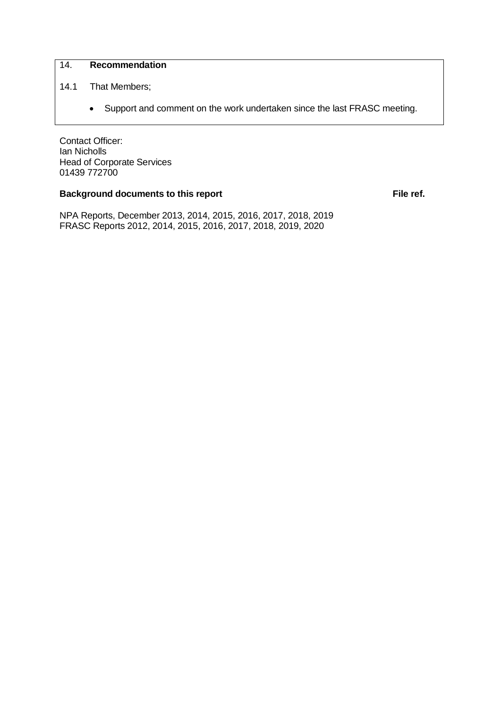- 14. **Recommendation**
- 14.1 That Members;
	- Support and comment on the work undertaken since the last FRASC meeting.

Contact Officer: Ian Nicholls Head of Corporate Services 01439 772700

### **Background documents to this report File ref. File ref. File ref.**

NPA Reports, December 2013, 2014, 2015, 2016, 2017, 2018, 2019 FRASC Reports 2012, 2014, 2015, 2016, 2017, 2018, 2019, 2020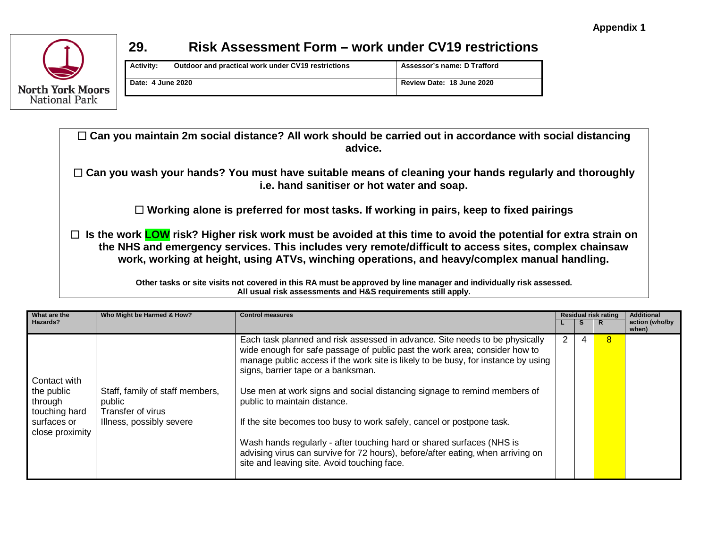

## **29. Risk Assessment Form – work under CV19 restrictions**

| <b>Activity:</b>  | Outdoor and practical work under CV19 restrictions | Assessor's name: D Trafford |
|-------------------|----------------------------------------------------|-----------------------------|
| Date: 4 June 2020 |                                                    | Review Date: 18 June 2020   |

 **Can you maintain 2m social distance? All work should be carried out in accordance with social distancing advice.** 

 **Can you wash your hands? You must have suitable means of cleaning your hands regularly and thoroughly i.e. hand sanitiser or hot water and soap.**

**Working alone is preferred for most tasks. If working in pairs, keep to fixed pairings**

 **Is the work LOW risk? Higher risk work must be avoided at this time to avoid the potential for extra strain on the NHS and emergency services. This includes very remote/difficult to access sites, complex chainsaw work, working at height, using ATVs, winching operations, and heavy/complex manual handling.** 

> **Other tasks or site visits not covered in this RA must be approved by line manager and individually risk assessed. All usual risk assessments and H&S requirements still apply.**

| Who Might be Harmed & How?<br>What are the                                               |                                                                                            | <b>Control measures</b>                                                                                                                                                                                                                                                                                                                                                                                                                                                                                                                                                                                                                                                              |   |   | <b>Residual risk rating</b> | <b>Additional</b>       |
|------------------------------------------------------------------------------------------|--------------------------------------------------------------------------------------------|--------------------------------------------------------------------------------------------------------------------------------------------------------------------------------------------------------------------------------------------------------------------------------------------------------------------------------------------------------------------------------------------------------------------------------------------------------------------------------------------------------------------------------------------------------------------------------------------------------------------------------------------------------------------------------------|---|---|-----------------------------|-------------------------|
| Hazards?                                                                                 |                                                                                            |                                                                                                                                                                                                                                                                                                                                                                                                                                                                                                                                                                                                                                                                                      |   | s | R                           | action (who/by<br>when) |
| Contact with<br>the public<br>through<br>touching hard<br>surfaces or<br>close proximity | Staff, family of staff members,<br>public<br>Transfer of virus<br>Illness, possibly severe | Each task planned and risk assessed in advance. Site needs to be physically<br>wide enough for safe passage of public past the work area; consider how to<br>manage public access if the work site is likely to be busy, for instance by using<br>signs, barrier tape or a banksman.<br>Use men at work signs and social distancing signage to remind members of<br>public to maintain distance.<br>If the site becomes too busy to work safely, cancel or postpone task.<br>Wash hands regularly - after touching hard or shared surfaces (NHS is<br>advising virus can survive for 72 hours), before/after eating, when arriving on<br>site and leaving site. Avoid touching face. | 2 |   | 8                           |                         |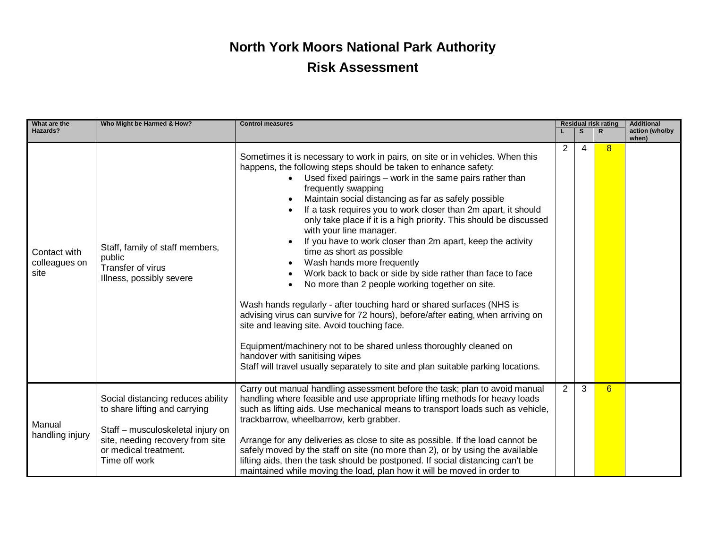| What are the                          | Who Might be Harmed & How?                                                                                                                                                            | <b>Control measures</b>                                                                                                                                                                                                                                                                                                                                                                                                                                                                                                                                                                                                                                                                                                                                                                                                                                                                                                                                                                                                                                                                                          |   | <b>Residual risk rating</b> |   | <b>Additional</b><br>action (who/by |  |
|---------------------------------------|---------------------------------------------------------------------------------------------------------------------------------------------------------------------------------------|------------------------------------------------------------------------------------------------------------------------------------------------------------------------------------------------------------------------------------------------------------------------------------------------------------------------------------------------------------------------------------------------------------------------------------------------------------------------------------------------------------------------------------------------------------------------------------------------------------------------------------------------------------------------------------------------------------------------------------------------------------------------------------------------------------------------------------------------------------------------------------------------------------------------------------------------------------------------------------------------------------------------------------------------------------------------------------------------------------------|---|-----------------------------|---|-------------------------------------|--|
| Hazards?                              |                                                                                                                                                                                       |                                                                                                                                                                                                                                                                                                                                                                                                                                                                                                                                                                                                                                                                                                                                                                                                                                                                                                                                                                                                                                                                                                                  |   |                             |   |                                     |  |
| Contact with<br>colleagues on<br>site | Staff, family of staff members,<br>public<br>Transfer of virus<br>Illness, possibly severe                                                                                            | Sometimes it is necessary to work in pairs, on site or in vehicles. When this<br>happens, the following steps should be taken to enhance safety:<br>Used fixed pairings - work in the same pairs rather than<br>frequently swapping<br>Maintain social distancing as far as safely possible<br>If a task requires you to work closer than 2m apart, it should<br>only take place if it is a high priority. This should be discussed<br>with your line manager.<br>If you have to work closer than 2m apart, keep the activity<br>time as short as possible<br>Wash hands more frequently<br>Work back to back or side by side rather than face to face<br>No more than 2 people working together on site.<br>Wash hands regularly - after touching hard or shared surfaces (NHS is<br>advising virus can survive for 72 hours), before/after eating, when arriving on<br>site and leaving site. Avoid touching face.<br>Equipment/machinery not to be shared unless thoroughly cleaned on<br>handover with sanitising wipes<br>Staff will travel usually separately to site and plan suitable parking locations. | 2 | 4                           | 8 |                                     |  |
| Manual<br>handling injury             | Social distancing reduces ability<br>to share lifting and carrying<br>Staff - musculoskeletal injury on<br>site, needing recovery from site<br>or medical treatment.<br>Time off work | Carry out manual handling assessment before the task; plan to avoid manual<br>handling where feasible and use appropriate lifting methods for heavy loads<br>such as lifting aids. Use mechanical means to transport loads such as vehicle,<br>trackbarrow, wheelbarrow, kerb grabber.<br>Arrange for any deliveries as close to site as possible. If the load cannot be<br>safely moved by the staff on site (no more than 2), or by using the available<br>lifting aids, then the task should be postponed. If social distancing can't be<br>maintained while moving the load, plan how it will be moved in order to                                                                                                                                                                                                                                                                                                                                                                                                                                                                                           | 2 | 3                           | 6 |                                     |  |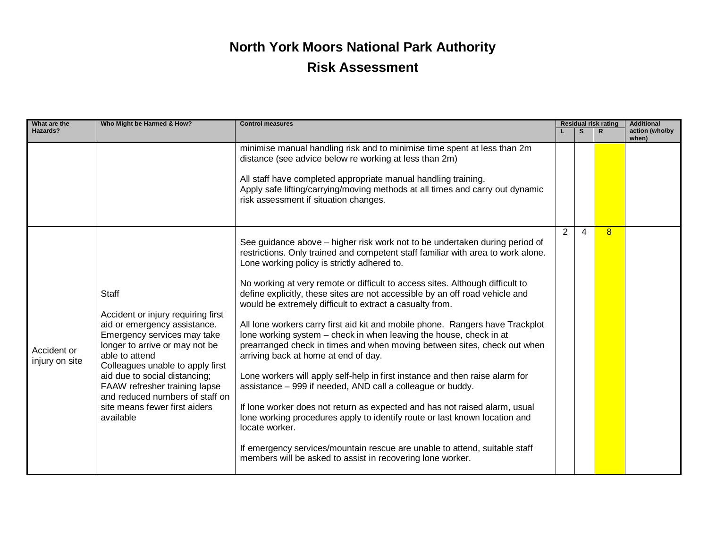| What are the                  | Who Might be Harmed & How?                                                                                                                                                                                                                                                                                                                                   | <b>Control measures</b>                                                                                                                                                                                                                                                                                                                                                                                                                                                                                                                                                                                                                                                                                                                                                                                                                                                                                                                                                                                                                                                                                                                                                                        |   | Residual risk rating<br>$\mathsf{R}$ |   | <b>Additional</b>       |  |
|-------------------------------|--------------------------------------------------------------------------------------------------------------------------------------------------------------------------------------------------------------------------------------------------------------------------------------------------------------------------------------------------------------|------------------------------------------------------------------------------------------------------------------------------------------------------------------------------------------------------------------------------------------------------------------------------------------------------------------------------------------------------------------------------------------------------------------------------------------------------------------------------------------------------------------------------------------------------------------------------------------------------------------------------------------------------------------------------------------------------------------------------------------------------------------------------------------------------------------------------------------------------------------------------------------------------------------------------------------------------------------------------------------------------------------------------------------------------------------------------------------------------------------------------------------------------------------------------------------------|---|--------------------------------------|---|-------------------------|--|
| Hazards?                      |                                                                                                                                                                                                                                                                                                                                                              |                                                                                                                                                                                                                                                                                                                                                                                                                                                                                                                                                                                                                                                                                                                                                                                                                                                                                                                                                                                                                                                                                                                                                                                                |   |                                      |   | action (who/by<br>when) |  |
|                               |                                                                                                                                                                                                                                                                                                                                                              | minimise manual handling risk and to minimise time spent at less than 2m<br>distance (see advice below re working at less than 2m)<br>All staff have completed appropriate manual handling training.<br>Apply safe lifting/carrying/moving methods at all times and carry out dynamic<br>risk assessment if situation changes.                                                                                                                                                                                                                                                                                                                                                                                                                                                                                                                                                                                                                                                                                                                                                                                                                                                                 |   |                                      |   |                         |  |
| Accident or<br>injury on site | <b>Staff</b><br>Accident or injury requiring first<br>aid or emergency assistance.<br>Emergency services may take<br>longer to arrive or may not be<br>able to attend<br>Colleagues unable to apply first<br>aid due to social distancing;<br>FAAW refresher training lapse<br>and reduced numbers of staff on<br>site means fewer first aiders<br>available | See guidance above – higher risk work not to be undertaken during period of<br>restrictions. Only trained and competent staff familiar with area to work alone.<br>Lone working policy is strictly adhered to.<br>No working at very remote or difficult to access sites. Although difficult to<br>define explicitly, these sites are not accessible by an off road vehicle and<br>would be extremely difficult to extract a casualty from.<br>All lone workers carry first aid kit and mobile phone. Rangers have Trackplot<br>lone working system - check in when leaving the house, check in at<br>prearranged check in times and when moving between sites, check out when<br>arriving back at home at end of day.<br>Lone workers will apply self-help in first instance and then raise alarm for<br>assistance - 999 if needed, AND call a colleague or buddy.<br>If lone worker does not return as expected and has not raised alarm, usual<br>lone working procedures apply to identify route or last known location and<br>locate worker.<br>If emergency services/mountain rescue are unable to attend, suitable staff<br>members will be asked to assist in recovering lone worker. | 2 | 4                                    | 8 |                         |  |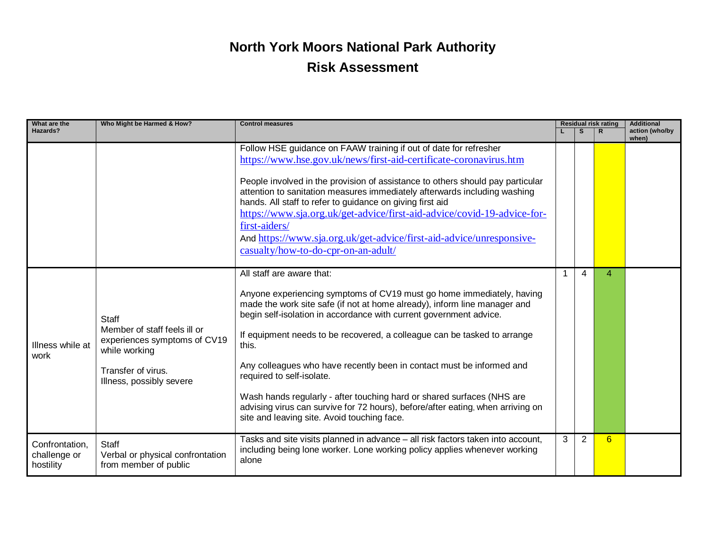| What are the                                | Who Might be Harmed & How?                                                                                                               | <b>Control measures</b>                                                                                                                                                                                                                                                                                                                                                                                                                                                                                                                                                                                                                                      |   |   |                | <b>Residual risk rating</b> |  | <b>Additional</b> |
|---------------------------------------------|------------------------------------------------------------------------------------------------------------------------------------------|--------------------------------------------------------------------------------------------------------------------------------------------------------------------------------------------------------------------------------------------------------------------------------------------------------------------------------------------------------------------------------------------------------------------------------------------------------------------------------------------------------------------------------------------------------------------------------------------------------------------------------------------------------------|---|---|----------------|-----------------------------|--|-------------------|
| Hazards?                                    |                                                                                                                                          |                                                                                                                                                                                                                                                                                                                                                                                                                                                                                                                                                                                                                                                              |   |   |                | action (who/by<br>when)     |  |                   |
|                                             |                                                                                                                                          | Follow HSE guidance on FAAW training if out of date for refresher<br>https://www.hse.gov.uk/news/first-aid-certificate-coronavirus.htm<br>People involved in the provision of assistance to others should pay particular<br>attention to sanitation measures immediately afterwards including washing<br>hands. All staff to refer to guidance on giving first aid<br>https://www.sja.org.uk/get-advice/first-aid-advice/covid-19-advice-for-<br>first-aiders/<br>And https://www.sja.org.uk/get-advice/first-aid-advice/unresponsive-<br>casualty/how-to-do-cpr-on-an-adult/                                                                                |   |   |                |                             |  |                   |
| Illness while at<br>work                    | Staff<br>Member of staff feels ill or<br>experiences symptoms of CV19<br>while working<br>Transfer of virus.<br>Illness, possibly severe | All staff are aware that:<br>Anyone experiencing symptoms of CV19 must go home immediately, having<br>made the work site safe (if not at home already), inform line manager and<br>begin self-isolation in accordance with current government advice.<br>If equipment needs to be recovered, a colleague can be tasked to arrange<br>this.<br>Any colleagues who have recently been in contact must be informed and<br>required to self-isolate.<br>Wash hands regularly - after touching hard or shared surfaces (NHS are<br>advising virus can survive for 72 hours), before/after eating, when arriving on<br>site and leaving site. Avoid touching face. |   | 4 | $\overline{4}$ |                             |  |                   |
| Confrontation,<br>challenge or<br>hostility | Staff<br>Verbal or physical confrontation<br>from member of public                                                                       | Tasks and site visits planned in advance - all risk factors taken into account,<br>including being lone worker. Lone working policy applies whenever working<br>alone                                                                                                                                                                                                                                                                                                                                                                                                                                                                                        | 3 | 2 | 6              |                             |  |                   |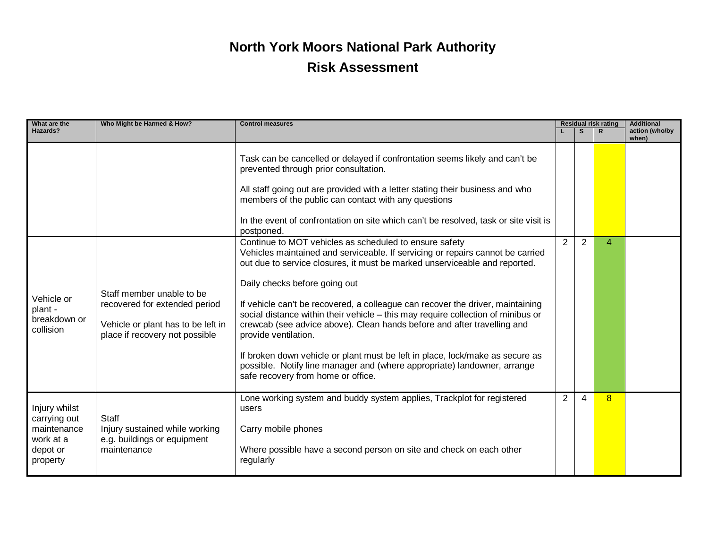| What are the<br>Who Might be Harmed & How?                                        |                                                                                                                                    | <b>Control measures</b>                                                                                                                                                                                                                                                                                                                                                                                                                                                                                                                                                                                                                                                                                                             |                |   | Residual risk rating | <b>Additional</b>       |  |
|-----------------------------------------------------------------------------------|------------------------------------------------------------------------------------------------------------------------------------|-------------------------------------------------------------------------------------------------------------------------------------------------------------------------------------------------------------------------------------------------------------------------------------------------------------------------------------------------------------------------------------------------------------------------------------------------------------------------------------------------------------------------------------------------------------------------------------------------------------------------------------------------------------------------------------------------------------------------------------|----------------|---|----------------------|-------------------------|--|
| Hazards?                                                                          |                                                                                                                                    |                                                                                                                                                                                                                                                                                                                                                                                                                                                                                                                                                                                                                                                                                                                                     |                | S | $\mathsf{R}$         | action (who/by<br>when) |  |
|                                                                                   |                                                                                                                                    | Task can be cancelled or delayed if confrontation seems likely and can't be<br>prevented through prior consultation.<br>All staff going out are provided with a letter stating their business and who<br>members of the public can contact with any questions<br>In the event of confrontation on site which can't be resolved, task or site visit is<br>postponed.                                                                                                                                                                                                                                                                                                                                                                 |                |   |                      |                         |  |
| Vehicle or<br>plant -<br>breakdown or<br>collision                                | Staff member unable to be<br>recovered for extended period<br>Vehicle or plant has to be left in<br>place if recovery not possible | Continue to MOT vehicles as scheduled to ensure safety<br>Vehicles maintained and serviceable. If servicing or repairs cannot be carried<br>out due to service closures, it must be marked unserviceable and reported.<br>Daily checks before going out<br>If vehicle can't be recovered, a colleague can recover the driver, maintaining<br>social distance within their vehicle - this may require collection of minibus or<br>crewcab (see advice above). Clean hands before and after travelling and<br>provide ventilation.<br>If broken down vehicle or plant must be left in place, lock/make as secure as<br>possible. Notify line manager and (where appropriate) landowner, arrange<br>safe recovery from home or office. | $\overline{2}$ | 2 | 4                    |                         |  |
| Injury whilst<br>carrying out<br>maintenance<br>work at a<br>depot or<br>property | Staff<br>Injury sustained while working<br>e.g. buildings or equipment<br>maintenance                                              | 2<br>Lone working system and buddy system applies, Trackplot for registered<br>users<br>Carry mobile phones<br>Where possible have a second person on site and check on each other<br>regularly                                                                                                                                                                                                                                                                                                                                                                                                                                                                                                                                     |                | 4 | $\mathbf{8}$         |                         |  |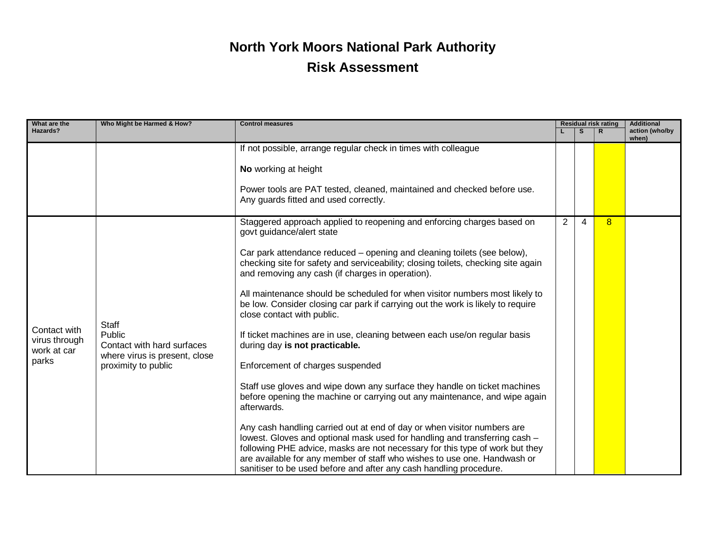| What are the                                 | Who Might be Harmed & How?<br><b>Control measures</b>                 |                                                                                                                                                                                                                                                                                                                                                                                         | <b>Residual risk rating</b> |          |    | <b>Additional</b>       |
|----------------------------------------------|-----------------------------------------------------------------------|-----------------------------------------------------------------------------------------------------------------------------------------------------------------------------------------------------------------------------------------------------------------------------------------------------------------------------------------------------------------------------------------|-----------------------------|----------|----|-------------------------|
| Hazards?                                     |                                                                       |                                                                                                                                                                                                                                                                                                                                                                                         |                             | <b>S</b> | R. | action (who/by<br>when) |
|                                              |                                                                       | If not possible, arrange regular check in times with colleague                                                                                                                                                                                                                                                                                                                          |                             |          |    |                         |
|                                              |                                                                       | No working at height                                                                                                                                                                                                                                                                                                                                                                    |                             |          |    |                         |
|                                              |                                                                       | Power tools are PAT tested, cleaned, maintained and checked before use.<br>Any guards fitted and used correctly.                                                                                                                                                                                                                                                                        |                             |          |    |                         |
|                                              |                                                                       | Staggered approach applied to reopening and enforcing charges based on<br>govt guidance/alert state                                                                                                                                                                                                                                                                                     | 2                           | 4        | 8  |                         |
|                                              |                                                                       | Car park attendance reduced – opening and cleaning toilets (see below),<br>checking site for safety and serviceability; closing toilets, checking site again<br>and removing any cash (if charges in operation).                                                                                                                                                                        |                             |          |    |                         |
|                                              | Staff                                                                 | All maintenance should be scheduled for when visitor numbers most likely to<br>be low. Consider closing car park if carrying out the work is likely to require<br>close contact with public.                                                                                                                                                                                            |                             |          |    |                         |
| Contact with<br>virus through<br>work at car | Public<br>Contact with hard surfaces<br>where virus is present, close | If ticket machines are in use, cleaning between each use/on regular basis<br>during day is not practicable.                                                                                                                                                                                                                                                                             |                             |          |    |                         |
| parks                                        | proximity to public                                                   | Enforcement of charges suspended                                                                                                                                                                                                                                                                                                                                                        |                             |          |    |                         |
|                                              |                                                                       | Staff use gloves and wipe down any surface they handle on ticket machines<br>before opening the machine or carrying out any maintenance, and wipe again<br>afterwards.                                                                                                                                                                                                                  |                             |          |    |                         |
|                                              |                                                                       | Any cash handling carried out at end of day or when visitor numbers are<br>lowest. Gloves and optional mask used for handling and transferring cash -<br>following PHE advice, masks are not necessary for this type of work but they<br>are available for any member of staff who wishes to use one. Handwash or<br>sanitiser to be used before and after any cash handling procedure. |                             |          |    |                         |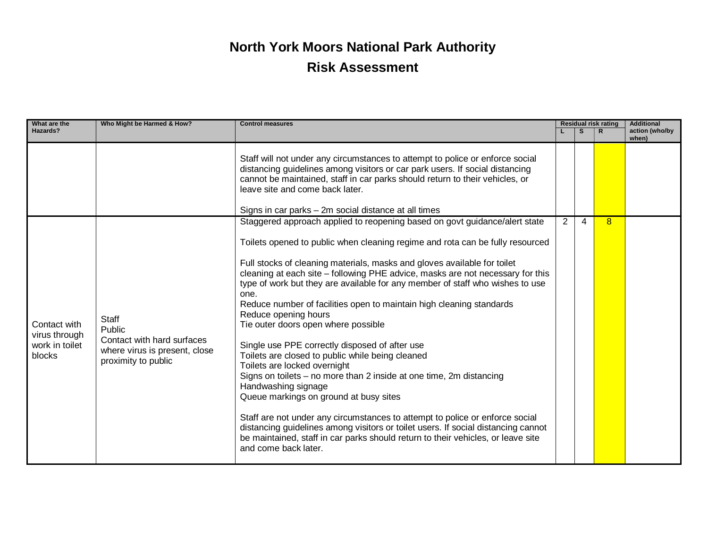| What are the<br>Who Might be Harmed & How?<br><b>Control measures</b> |                                                                                                       |                                                                                                                                                                                                                                                                                                                                                                                                                                                                                                                                                                                                                                                                                                                                                                                                                                         |   |          | <b>Residual risk rating</b> | <b>Additional</b>       |  |
|-----------------------------------------------------------------------|-------------------------------------------------------------------------------------------------------|-----------------------------------------------------------------------------------------------------------------------------------------------------------------------------------------------------------------------------------------------------------------------------------------------------------------------------------------------------------------------------------------------------------------------------------------------------------------------------------------------------------------------------------------------------------------------------------------------------------------------------------------------------------------------------------------------------------------------------------------------------------------------------------------------------------------------------------------|---|----------|-----------------------------|-------------------------|--|
| Hazards?                                                              |                                                                                                       |                                                                                                                                                                                                                                                                                                                                                                                                                                                                                                                                                                                                                                                                                                                                                                                                                                         |   | <b>S</b> | R.                          | action (who/by<br>when) |  |
|                                                                       |                                                                                                       | Staff will not under any circumstances to attempt to police or enforce social<br>distancing guidelines among visitors or car park users. If social distancing<br>cannot be maintained, staff in car parks should return to their vehicles, or<br>leave site and come back later.<br>Signs in car parks - 2m social distance at all times                                                                                                                                                                                                                                                                                                                                                                                                                                                                                                |   |          |                             |                         |  |
| Contact with<br>virus through<br>work in toilet<br>blocks             | Staff<br>Public<br>Contact with hard surfaces<br>where virus is present, close<br>proximity to public | Staggered approach applied to reopening based on govt guidance/alert state<br>Toilets opened to public when cleaning regime and rota can be fully resourced<br>Full stocks of cleaning materials, masks and gloves available for toilet<br>cleaning at each site - following PHE advice, masks are not necessary for this<br>type of work but they are available for any member of staff who wishes to use<br>one.<br>Reduce number of facilities open to maintain high cleaning standards<br>Reduce opening hours<br>Tie outer doors open where possible<br>Single use PPE correctly disposed of after use<br>Toilets are closed to public while being cleaned<br>Toilets are locked overnight<br>Signs on toilets - no more than 2 inside at one time, 2m distancing<br>Handwashing signage<br>Queue markings on ground at busy sites | 2 | 4        | 8                           |                         |  |
|                                                                       |                                                                                                       | Staff are not under any circumstances to attempt to police or enforce social<br>distancing guidelines among visitors or toilet users. If social distancing cannot<br>be maintained, staff in car parks should return to their vehicles, or leave site<br>and come back later.                                                                                                                                                                                                                                                                                                                                                                                                                                                                                                                                                           |   |          |                             |                         |  |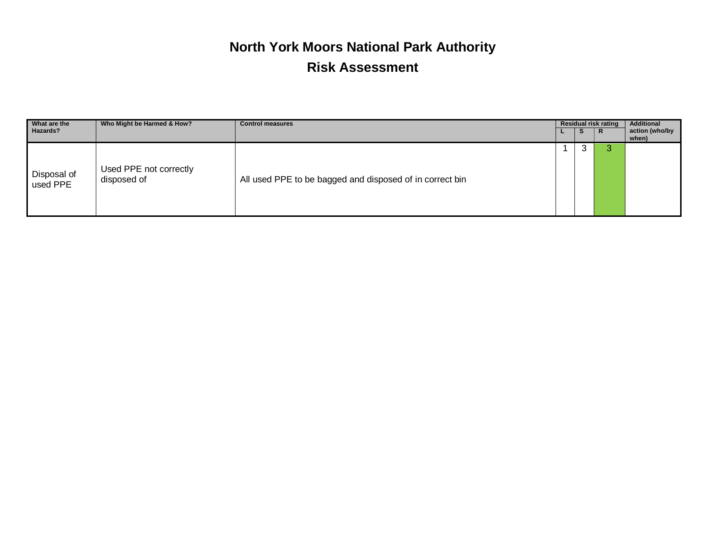| What are the<br>Hazards? | Who Might be Harmed & How?            | <b>Control measures</b>                                  | <b>S</b> | <b>Residual risk rating</b><br>R. | Additional<br>action (who/by<br>when) |
|--------------------------|---------------------------------------|----------------------------------------------------------|----------|-----------------------------------|---------------------------------------|
| Disposal of<br>used PPE  | Used PPE not correctly<br>disposed of | All used PPE to be bagged and disposed of in correct bin | Ő        | w                                 |                                       |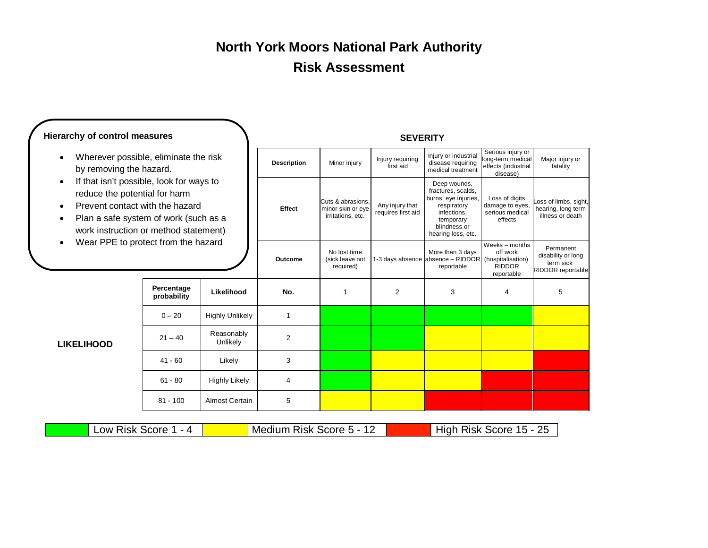| <b>Hierarchy of control measures</b>                                                                                                                                                                                     |                                     |                        |                               |                                                                | <b>SEVERITY</b>                                                           |                                                                                                                                             |                                                                                |                                                                   |
|--------------------------------------------------------------------------------------------------------------------------------------------------------------------------------------------------------------------------|-------------------------------------|------------------------|-------------------------------|----------------------------------------------------------------|---------------------------------------------------------------------------|---------------------------------------------------------------------------------------------------------------------------------------------|--------------------------------------------------------------------------------|-------------------------------------------------------------------|
| Wherever possible, eliminate the risk<br>$\bullet$<br>by removing the hazard.                                                                                                                                            | <b>Description</b>                  | Minor injury           | Injury requiring<br>first aid | Injury or industrial<br>disease requiring<br>medical treatment | Serious injury or<br>long-term medical<br>effects (industrial<br>disease) | Major injury or<br>fatality                                                                                                                 |                                                                                |                                                                   |
| If that isn't possible, look for ways to<br>$\bullet$<br>reduce the potential for harm<br>Prevent contact with the hazard<br>Plan a safe system of work (such as a<br>$\bullet$<br>work instruction or method statement) |                                     |                        | Effect                        | Cuts & abrasions.<br>minor skin or eye<br>irritations, etc.    | Any injury that<br>requires first aid                                     | Deep wounds,<br>fractures, scalds,<br>burns, eye injuries,<br>respiratory<br>infections.<br>temporary<br>blindness or<br>hearing loss, etc. | Loss of digits<br>damage to eyes,<br>serious medical<br>effects                | oss of limbs, sight,<br>hearing, long term<br>illness or death    |
| $\bullet$                                                                                                                                                                                                                | Wear PPE to protect from the hazard |                        | Outcome                       | No lost time<br>(sick leave not<br>required)                   |                                                                           | More than 3 days<br>1-3 days absence absence - RIDDOR<br>reportable                                                                         | Weeks - months<br>off work<br>(hospitalisation)<br><b>RIDDOR</b><br>reportable | Permanent<br>disability or long<br>term sick<br>RIDDOR reportable |
|                                                                                                                                                                                                                          | Percentage<br>probability           | Likelihood             | No.                           | 1                                                              | 2                                                                         | 3                                                                                                                                           | 4                                                                              | 5                                                                 |
|                                                                                                                                                                                                                          | $0 - 20$                            | <b>Highly Unlikely</b> | $\mathbf{1}$                  |                                                                |                                                                           |                                                                                                                                             |                                                                                |                                                                   |
| <b>LIKELIHOOD</b>                                                                                                                                                                                                        | $21 - 40$                           | Reasonably<br>Unlikely | 2                             |                                                                |                                                                           |                                                                                                                                             |                                                                                |                                                                   |
|                                                                                                                                                                                                                          | $41 - 60$                           | Likely                 | 3                             |                                                                |                                                                           |                                                                                                                                             |                                                                                |                                                                   |
|                                                                                                                                                                                                                          | $61 - 80$                           | <b>Highly Likely</b>   | 4                             |                                                                |                                                                           |                                                                                                                                             |                                                                                |                                                                   |
|                                                                                                                                                                                                                          | $81 - 100$                          | Almost Certain         | 5                             |                                                                |                                                                           |                                                                                                                                             |                                                                                |                                                                   |

| _ow Risk Score <sup>.</sup> |  | Medium Risk Score 5 |  | High Risk Score 15 - 2 |
|-----------------------------|--|---------------------|--|------------------------|
|-----------------------------|--|---------------------|--|------------------------|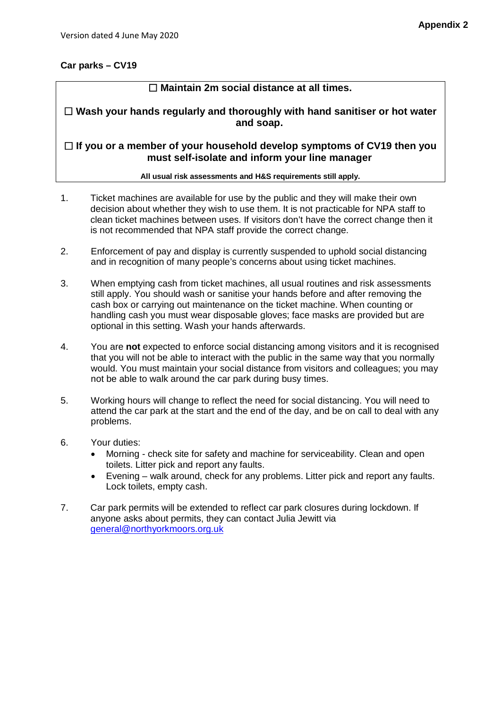### **Car parks – CV19**

### **Maintain 2m social distance at all times.**

### **Wash your hands regularly and thoroughly with hand sanitiser or hot water and soap.**

### **If you or a member of your household develop symptoms of CV19 then you must self-isolate and inform your line manager**

### **All usual risk assessments and H&S requirements still apply.**

- 1. Ticket machines are available for use by the public and they will make their own decision about whether they wish to use them. It is not practicable for NPA staff to clean ticket machines between uses. If visitors don't have the correct change then it is not recommended that NPA staff provide the correct change.
- 2. Enforcement of pay and display is currently suspended to uphold social distancing and in recognition of many people's concerns about using ticket machines.
- 3. When emptying cash from ticket machines, all usual routines and risk assessments still apply. You should wash or sanitise your hands before and after removing the cash box or carrying out maintenance on the ticket machine. When counting or handling cash you must wear disposable gloves; face masks are provided but are optional in this setting. Wash your hands afterwards.
- 4. You are **not** expected to enforce social distancing among visitors and it is recognised that you will not be able to interact with the public in the same way that you normally would. You must maintain your social distance from visitors and colleagues; you may not be able to walk around the car park during busy times.
- 5. Working hours will change to reflect the need for social distancing. You will need to attend the car park at the start and the end of the day, and be on call to deal with any problems.
- 6. Your duties:
	- Morning check site for safety and machine for serviceability. Clean and open toilets. Litter pick and report any faults.
	- Evening walk around, check for any problems. Litter pick and report any faults. Lock toilets, empty cash.
- 7. Car park permits will be extended to reflect car park closures during lockdown. If anyone asks about permits, they can contact Julia Jewitt via [general@northyorkmoors.org.uk](mailto:general@northyorkmoors.org.uk)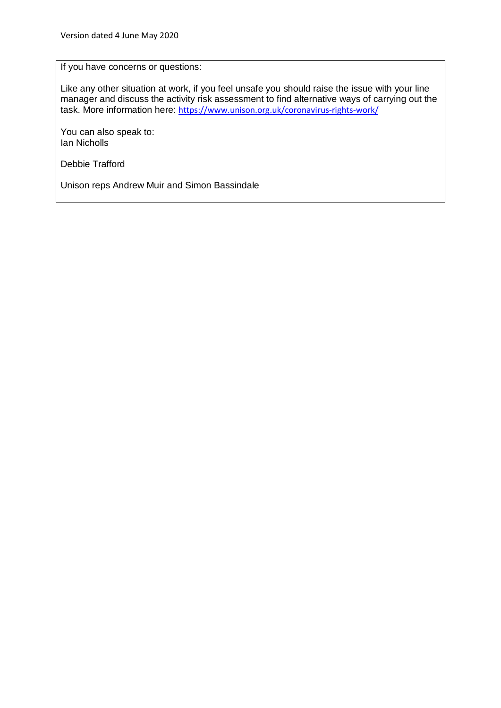If you have concerns or questions:

Like any other situation at work, if you feel unsafe you should raise the issue with your line manager and discuss the activity risk assessment to find alternative ways of carrying out the task. More information here: <https://www.unison.org.uk/coronavirus-rights-work/>

You can also speak to: Ian Nicholls

Debbie Trafford

Unison reps Andrew Muir and Simon Bassindale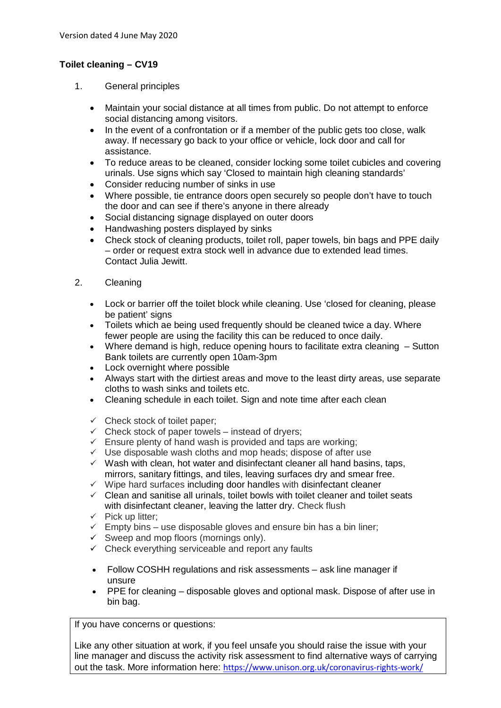### **Toilet cleaning – CV19**

- 1. General principles
	- Maintain your social distance at all times from public. Do not attempt to enforce social distancing among visitors.
	- In the event of a confrontation or if a member of the public gets too close, walk away. If necessary go back to your office or vehicle, lock door and call for assistance.
	- To reduce areas to be cleaned, consider locking some toilet cubicles and covering urinals. Use signs which say 'Closed to maintain high cleaning standards'
	- Consider reducing number of sinks in use
	- Where possible, tie entrance doors open securely so people don't have to touch the door and can see if there's anyone in there already
	- Social distancing signage displayed on outer doors
	- Handwashing posters displayed by sinks
	- Check stock of cleaning products, toilet roll, paper towels, bin bags and PPE daily – order or request extra stock well in advance due to extended lead times. Contact Julia Jewitt.
- 2. Cleaning
	- Lock or barrier off the toilet block while cleaning. Use 'closed for cleaning, please be patient' signs
	- Toilets which ae being used frequently should be cleaned twice a day. Where fewer people are using the facility this can be reduced to once daily.
	- Where demand is high, reduce opening hours to facilitate extra cleaning Sutton Bank toilets are currently open 10am-3pm
	- Lock overnight where possible
	- Always start with the dirtiest areas and move to the least dirty areas, use separate cloths to wash sinks and toilets etc.
	- Cleaning schedule in each toilet. Sign and note time after each clean
	- $\checkmark$  Check stock of toilet paper;
	- $\checkmark$  Check stock of paper towels instead of dryers:
	- $\checkmark$  Ensure plenty of hand wash is provided and taps are working;
	- $\checkmark$  Use disposable wash cloths and mop heads; dispose of after use
	- $\checkmark$  Wash with clean, hot water and disinfectant cleaner all hand basins, taps, mirrors, sanitary fittings, and tiles, leaving surfaces dry and smear free.
	- $\checkmark$  Wipe hard surfaces including door handles with disinfectant cleaner
	- $\checkmark$  Clean and sanitise all urinals, toilet bowls with toilet cleaner and toilet seats with disinfectant cleaner, leaving the latter dry. Check flush
	- $\checkmark$  Pick up litter:
	- $\checkmark$  Empty bins use disposable gloves and ensure bin has a bin liner;
	- $\checkmark$  Sweep and mop floors (mornings only).
	- $\checkmark$  Check everything serviceable and report any faults
	- Follow COSHH regulations and risk assessments ask line manager if unsure
	- PPE for cleaning disposable gloves and optional mask. Dispose of after use in bin bag.

If you have concerns or questions:

Like any other situation at work, if you feel unsafe you should raise the issue with your line manager and discuss the activity risk assessment to find alternative ways of carrying out the task. More information here: <https://www.unison.org.uk/coronavirus-rights-work/>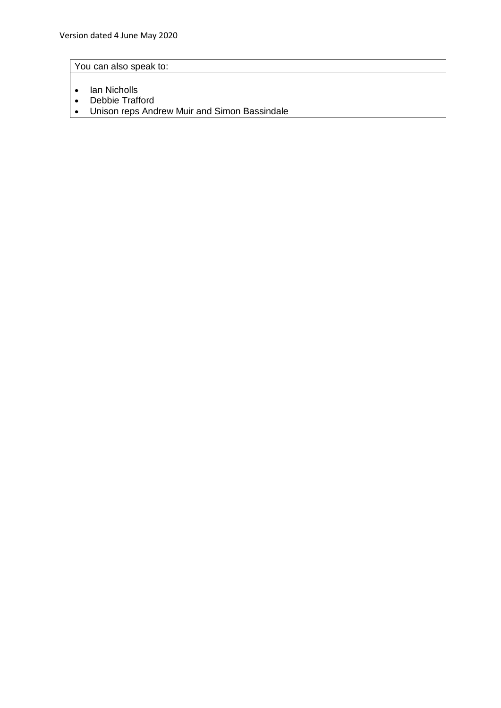You can also speak to:

- Ian Nicholls
- Debbie Trafford
- Unison reps Andrew Muir and Simon Bassindale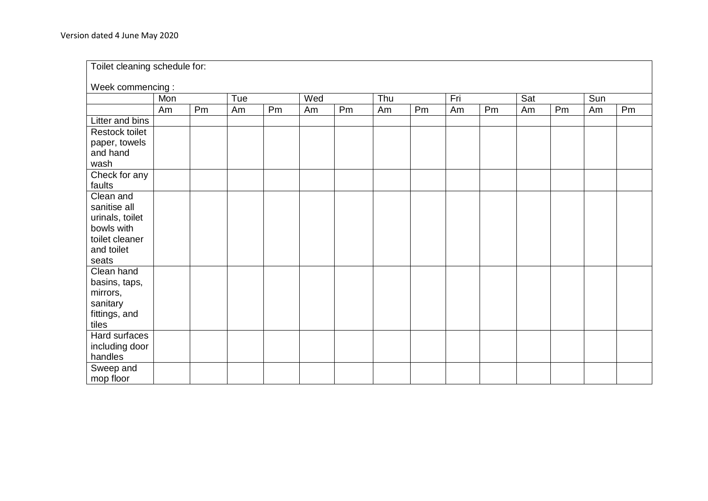Toilet cleaning schedule for: Week commencing : Mon Tue Wed Thu Fri Sat Sun Am |Pm |Am |Pm |Am |Am |Pm |Am |Pm |Am |Pm |Am |Pm Litter and bins Restock toilet paper, towels and hand wash Check for any faults Clean and sanitise all urinals, toilet bowls with toilet cleaner and toilet seats Clean hand basins, taps, mirrors, sanitary fittings, and tiles Hard surfaces including door handles Sweep and mop floor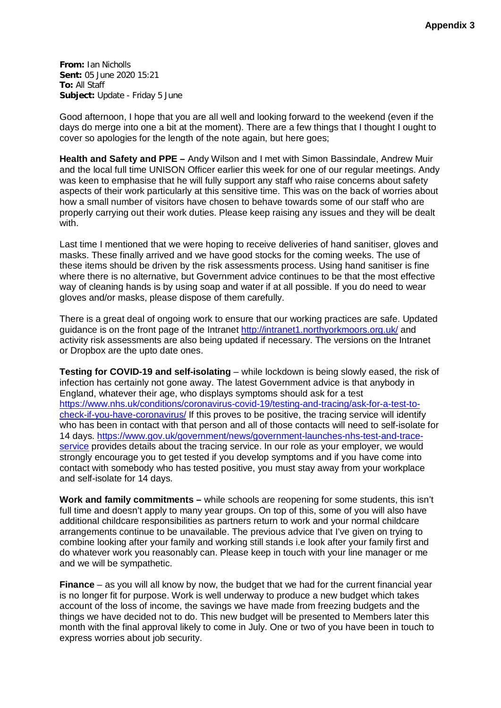**From:** Ian Nicholls **Sent:** 05 June 2020 15:21 **To:** All Staff **Subject:** Update - Friday 5 June

Good afternoon, I hope that you are all well and looking forward to the weekend (even if the days do merge into one a bit at the moment). There are a few things that I thought I ought to cover so apologies for the length of the note again, but here goes;

**Health and Safety and PPE –** Andy Wilson and I met with Simon Bassindale, Andrew Muir and the local full time UNISON Officer earlier this week for one of our regular meetings. Andy was keen to emphasise that he will fully support any staff who raise concerns about safety aspects of their work particularly at this sensitive time. This was on the back of worries about how a small number of visitors have chosen to behave towards some of our staff who are properly carrying out their work duties. Please keep raising any issues and they will be dealt with.

Last time I mentioned that we were hoping to receive deliveries of hand sanitiser, gloves and masks. These finally arrived and we have good stocks for the coming weeks. The use of these items should be driven by the risk assessments process. Using hand sanitiser is fine where there is no alternative, but Government advice continues to be that the most effective way of cleaning hands is by using soap and water if at all possible. If you do need to wear gloves and/or masks, please dispose of them carefully.

There is a great deal of ongoing work to ensure that our working practices are safe. Updated guidance is on the front page of the Intranet<http://intranet1.northyorkmoors.org.uk/> and activity risk assessments are also being updated if necessary. The versions on the Intranet or Dropbox are the upto date ones.

**Testing for COVID-19 and self-isolating** – while lockdown is being slowly eased, the risk of infection has certainly not gone away. The latest Government advice is that anybody in England, whatever their age, who displays symptoms should ask for a test [https://www.nhs.uk/conditions/coronavirus-covid-19/testing-and-tracing/ask-for-a-test-to](https://www.nhs.uk/conditions/coronavirus-covid-19/testing-and-tracing/ask-for-a-test-to-check-if-you-have-coronavirus/)[check-if-you-have-coronavirus/](https://www.nhs.uk/conditions/coronavirus-covid-19/testing-and-tracing/ask-for-a-test-to-check-if-you-have-coronavirus/) If this proves to be positive, the tracing service will identify who has been in contact with that person and all of those contacts will need to self-isolate for 14 days. [https://www.gov.uk/government/news/government-launches-nhs-test-and-trace](https://www.gov.uk/government/news/government-launches-nhs-test-and-trace-service)[service](https://www.gov.uk/government/news/government-launches-nhs-test-and-trace-service) provides details about the tracing service. In our role as your employer, we would strongly encourage you to get tested if you develop symptoms and if you have come into contact with somebody who has tested positive, you must stay away from your workplace and self-isolate for 14 days.

**Work and family commitments –** while schools are reopening for some students, this isn't full time and doesn't apply to many year groups. On top of this, some of you will also have additional childcare responsibilities as partners return to work and your normal childcare arrangements continue to be unavailable. The previous advice that I've given on trying to combine looking after your family and working still stands i.e look after your family first and do whatever work you reasonably can. Please keep in touch with your line manager or me and we will be sympathetic.

**Finance** – as you will all know by now, the budget that we had for the current financial year is no longer fit for purpose. Work is well underway to produce a new budget which takes account of the loss of income, the savings we have made from freezing budgets and the things we have decided not to do. This new budget will be presented to Members later this month with the final approval likely to come in July. One or two of you have been in touch to express worries about job security.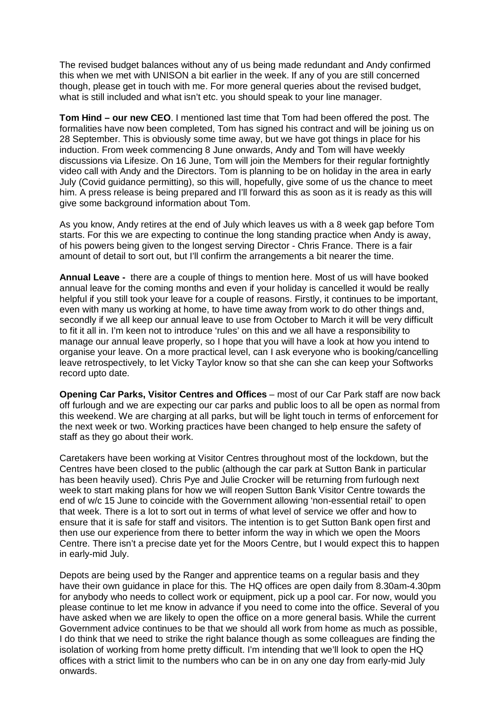The revised budget balances without any of us being made redundant and Andy confirmed this when we met with UNISON a bit earlier in the week. If any of you are still concerned though, please get in touch with me. For more general queries about the revised budget, what is still included and what isn't etc. you should speak to your line manager.

**Tom Hind – our new CEO**. I mentioned last time that Tom had been offered the post. The formalities have now been completed, Tom has signed his contract and will be joining us on 28 September. This is obviously some time away, but we have got things in place for his induction. From week commencing 8 June onwards, Andy and Tom will have weekly discussions via Lifesize. On 16 June, Tom will join the Members for their regular fortnightly video call with Andy and the Directors. Tom is planning to be on holiday in the area in early July (Covid guidance permitting), so this will, hopefully, give some of us the chance to meet him. A press release is being prepared and I'll forward this as soon as it is ready as this will give some background information about Tom.

As you know, Andy retires at the end of July which leaves us with a 8 week gap before Tom starts. For this we are expecting to continue the long standing practice when Andy is away, of his powers being given to the longest serving Director - Chris France. There is a fair amount of detail to sort out, but I'll confirm the arrangements a bit nearer the time.

**Annual Leave -** there are a couple of things to mention here. Most of us will have booked annual leave for the coming months and even if your holiday is cancelled it would be really helpful if you still took your leave for a couple of reasons. Firstly, it continues to be important, even with many us working at home, to have time away from work to do other things and, secondly if we all keep our annual leave to use from October to March it will be very difficult to fit it all in. I'm keen not to introduce 'rules' on this and we all have a responsibility to manage our annual leave properly, so I hope that you will have a look at how you intend to organise your leave. On a more practical level, can I ask everyone who is booking/cancelling leave retrospectively, to let Vicky Taylor know so that she can she can keep your Softworks record upto date.

**Opening Car Parks, Visitor Centres and Offices** – most of our Car Park staff are now back off furlough and we are expecting our car parks and public loos to all be open as normal from this weekend. We are charging at all parks, but will be light touch in terms of enforcement for the next week or two. Working practices have been changed to help ensure the safety of staff as they go about their work.

Caretakers have been working at Visitor Centres throughout most of the lockdown, but the Centres have been closed to the public (although the car park at Sutton Bank in particular has been heavily used). Chris Pye and Julie Crocker will be returning from furlough next week to start making plans for how we will reopen Sutton Bank Visitor Centre towards the end of w/c 15 June to coincide with the Government allowing 'non-essential retail' to open that week. There is a lot to sort out in terms of what level of service we offer and how to ensure that it is safe for staff and visitors. The intention is to get Sutton Bank open first and then use our experience from there to better inform the way in which we open the Moors Centre. There isn't a precise date yet for the Moors Centre, but I would expect this to happen in early-mid July.

Depots are being used by the Ranger and apprentice teams on a regular basis and they have their own guidance in place for this. The HQ offices are open daily from 8.30am-4.30pm for anybody who needs to collect work or equipment, pick up a pool car. For now, would you please continue to let me know in advance if you need to come into the office. Several of you have asked when we are likely to open the office on a more general basis. While the current Government advice continues to be that we should all work from home as much as possible, I do think that we need to strike the right balance though as some colleagues are finding the isolation of working from home pretty difficult. I'm intending that we'll look to open the HQ offices with a strict limit to the numbers who can be in on any one day from early-mid July onwards.